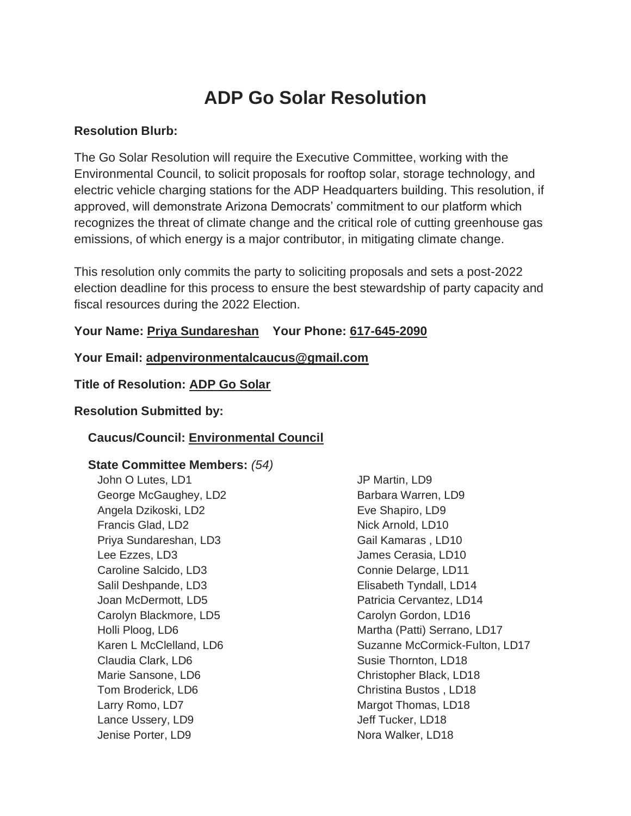# **ADP Go Solar Resolution**

#### **Resolution Blurb:**

The Go Solar Resolution will require the Executive Committee, working with the Environmental Council, to solicit proposals for rooftop solar, storage technology, and electric vehicle charging stations for the ADP Headquarters building. This resolution, if approved, will demonstrate Arizona Democrats' commitment to our platform which recognizes the threat of climate change and the critical role of cutting greenhouse gas emissions, of which energy is a major contributor, in mitigating climate change.

This resolution only commits the party to soliciting proposals and sets a post-2022 election deadline for this process to ensure the best stewardship of party capacity and fiscal resources during the 2022 Election.

### **Your Name: Priya Sundareshan Your Phone: 617-645-2090**

**Your Email: adpenvironmentalcaucus@gmail.com**

#### **Title of Resolution: ADP Go Solar**

#### **Resolution Submitted by:**

### **Caucus/Council: Environmental Council**

## **State Committee Members:** *(54)*

John O Lutes, LD1 George McGaughey, LD2 Angela Dzikoski, LD2 Francis Glad, LD2 Priya Sundareshan, LD3 Lee Ezzes, LD3 Caroline Salcido, LD3 Salil Deshpande, LD3 Joan McDermott, LD5 Carolyn Blackmore, LD5 Holli Ploog, LD6 Karen L McClelland, LD6 Claudia Clark, LD6 Marie Sansone, LD6 Tom Broderick, LD6 Larry Romo, LD7 Lance Ussery, LD9 Jenise Porter, LD9

JP Martin, LD9 Barbara Warren, LD9 Eve Shapiro, LD9 Nick Arnold, LD10 Gail Kamaras , LD10 James Cerasia, LD10 Connie Delarge, LD11 Elisabeth Tyndall, LD14 Patricia Cervantez, LD14 Carolyn Gordon, LD16 Martha (Patti) Serrano, LD17 Suzanne McCormick-Fulton, LD17 Susie Thornton, LD18 Christopher Black, LD18 Christina Bustos , LD18 Margot Thomas, LD18 Jeff Tucker, LD18 Nora Walker, LD18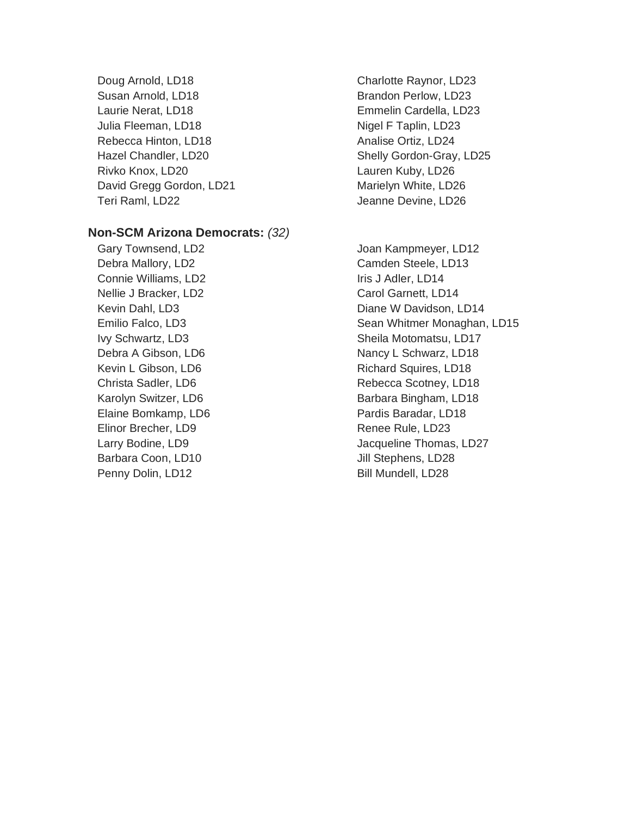Doug Arnold, LD18 Susan Arnold, LD18 Laurie Nerat, LD18 Julia Fleeman, LD18 Rebecca Hinton, LD18 Hazel Chandler, LD20 Rivko Knox, LD20 David Gregg Gordon, LD21 Teri Raml, LD22

#### **Non-SCM Arizona Democrats:** *(32)*

Gary Townsend, LD2 Debra Mallory, LD2 Connie Williams, LD2 Nellie J Bracker, LD2 Kevin Dahl, LD3 Emilio Falco, LD3 Ivy Schwartz, LD3 Debra A Gibson, LD6 Kevin L Gibson, LD6 Christa Sadler, LD6 Karolyn Switzer, LD6 Elaine Bomkamp, LD6 Elinor Brecher, LD9 Larry Bodine, LD9 Barbara Coon, LD10 Penny Dolin, LD12

Charlotte Raynor, LD23 Brandon Perlow, LD23 Emmelin Cardella, LD23 Nigel F Taplin, LD23 Analise Ortiz, LD24 Shelly Gordon-Gray, LD25 Lauren Kuby, LD26 Marielyn White, LD26 Jeanne Devine, LD26

Joan Kampmeyer, LD12 Camden Steele, LD13 Iris J Adler, LD14 Carol Garnett, LD14 Diane W Davidson, LD14 Sean Whitmer Monaghan, LD15 Sheila Motomatsu, LD17 Nancy L Schwarz, LD18 Richard Squires, LD18 Rebecca Scotney, LD18 Barbara Bingham, LD18 Pardis Baradar, LD18 Renee Rule, LD23 Jacqueline Thomas, LD27 Jill Stephens, LD28 Bill Mundell, LD28